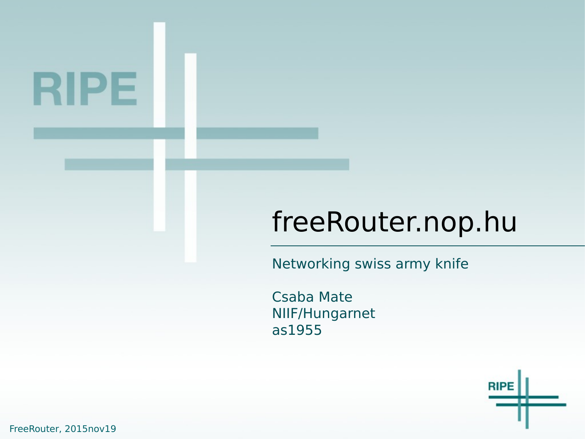# RIPE

#### freeRouter.nop.hu

Networking swiss army knife

Csaba Mate NIIF/Hungarnet as1955



FreeRouter, 2015nov19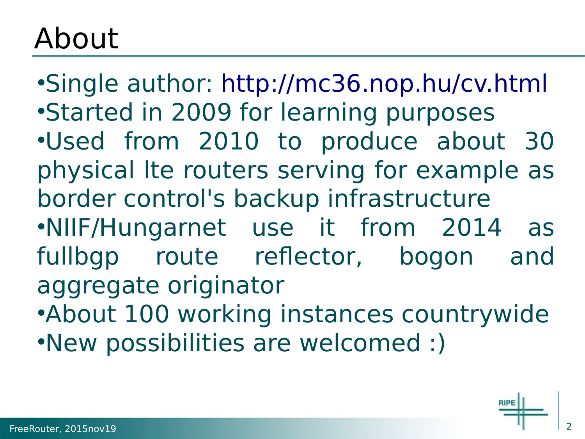### About

•Single author: <http://mc36.nop.hu/cv.html> •Started in 2009 for learning purposes ●Used from 2010 to produce about 30 physical lte routers serving for example as border control's backup infrastructure ●NIIF/Hungarnet use it from 2014 as fullbgp route reflector, bogon and aggregate originator •About 100 working instances countrywide ●New possibilities are welcomed :)

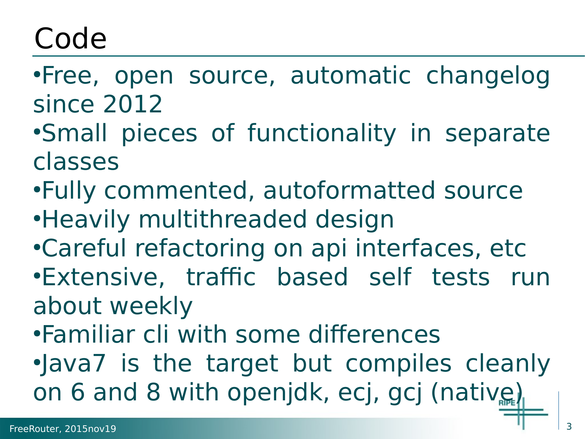## Code

- •Free, open source, automatic changelog since 2012
- •Small pieces of functionality in separate classes
- •Fully commented, autoformatted source
- Heavily multithreaded design
- •Careful refactoring on api interfaces, etc •Extensive, traffic based self tests run about weekly
- •Familiar cli with some differences .Java7 is the target but compiles cleanly on 6 and 8 with openjdk, ecj, gcj (native)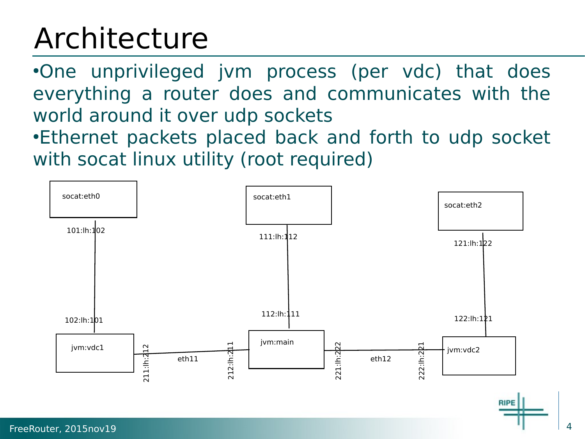## Architecture

•One unprivileged jvm process (per vdc) that does everything a router does and communicates with the world around it over udp sockets •Ethernet packets placed back and forth to udp socket with socat linux utility (root required)

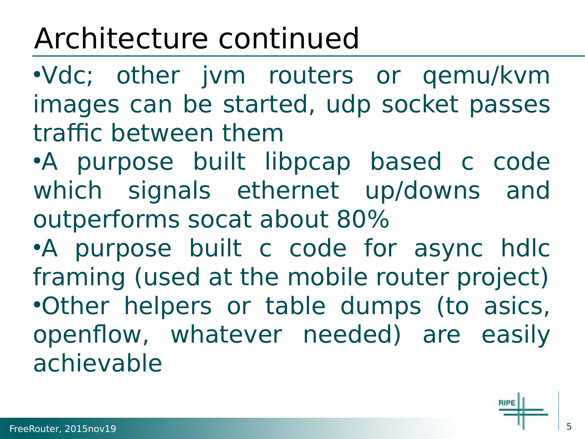## Architecture continued

●Vdc; other jvm routers or qemu/kvm images can be started, udp socket passes traffic between them

●A purpose built libpcap based c code which signals ethernet up/downs and outperforms socat about 80%

•A purpose built c code for async hdlc framing (used at the mobile router project) •Other helpers or table dumps (to asics, openflow, whatever needed) are easily achievable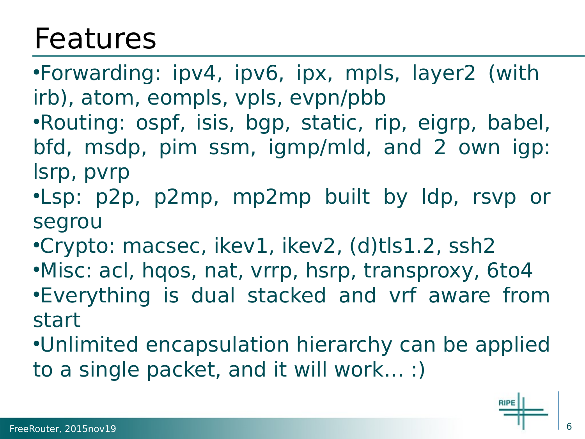#### Features

•Forwarding: ipv4, ipv6, ipx, mpls, layer2 (with irb), atom, eompls, vpls, evpn/pbb •Routing: ospf, isis, bgp, static, rip, eigrp, babel, bfd, msdp, pim ssm, igmp/mld, and 2 own igp: lsrp, pvrp

- ●Lsp: p2p, p2mp, mp2mp built by ldp, rsvp or segrou
- •Crypto: macsec, ikev1, ikev2, (d)tls1.2, ssh2
- •Misc: acl, hqos, nat, vrrp, hsrp, transproxy, 6to4 •Everything is dual stacked and vrf aware from start
- •Unlimited encapsulation hierarchy can be applied to a single packet, and it will work… :)

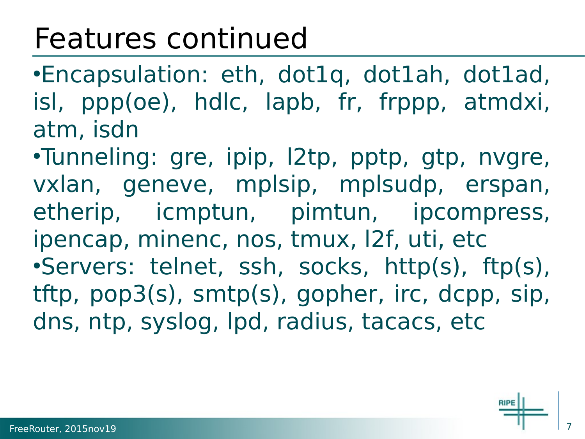#### Features continued

●Encapsulation: eth, dot1q, dot1ah, dot1ad, isl, ppp(oe), hdlc, lapb, fr, frppp, atmdxi, atm, isdn

•Tunneling: gre, ipip, l2tp, pptp, gtp, nvgre, vxlan, geneve, mplsip, mplsudp, erspan, etherip, icmptun, pimtun, ipcompress, ipencap, minenc, nos, tmux, l2f, uti, etc ●Servers: telnet, ssh, socks, http(s), ftp(s), tftp, pop3(s), smtp(s), gopher, irc, dcpp, sip, dns, ntp, syslog, lpd, radius, tacacs, etc

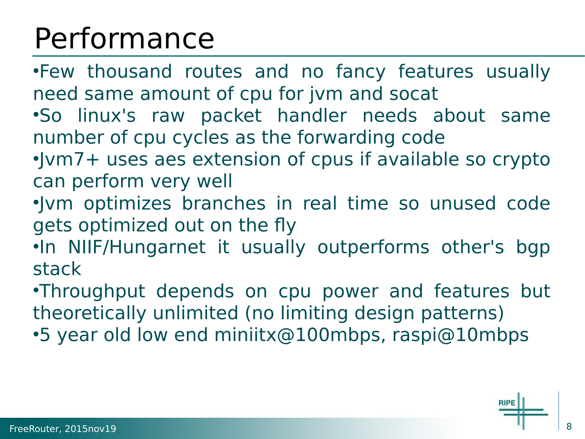## Performance

•Few thousand routes and no fancy features usually need same amount of cpu for jvm and socat ●So linux's raw packet handler needs about same number of cpu cycles as the forwarding code

- •Jvm7+ uses aes extension of cpus if available so crypto can perform very well
- ●Jvm optimizes branches in real time so unused code gets optimized out on the fly
- ●In NIIF/Hungarnet it usually outperforms other's bgp stack
- •Throughput depends on cpu power and features but theoretically unlimited (no limiting design patterns) •5 year old low end miniitx@100mbps, raspi@10mbps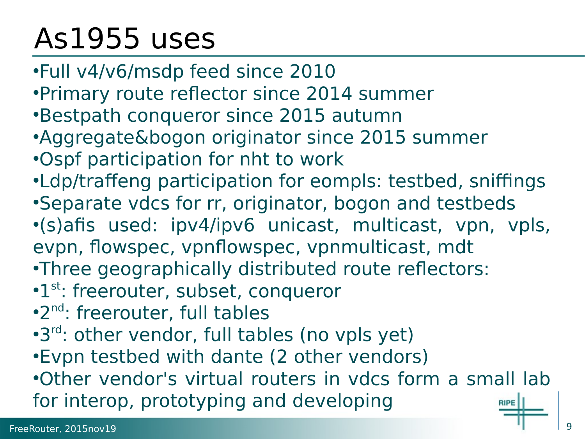## As1955 uses

- ●Full v4/v6/msdp feed since 2010
- •Primary route reflector since 2014 summer
- •Bestpath conqueror since 2015 autumn
- •Aggregate&bogon originator since 2015 summer
- •Ospf participation for nht to work
- •Ldp/traffeng participation for eompls: testbed, sniffings •Separate vdcs for rr, originator, bogon and testbeds
- ●(s)afis used: ipv4/ipv6 unicast, multicast, vpn, vpls, evpn, flowspec, vpnflowspec, vpnmulticast, mdt
- •Three geographically distributed route reflectors:
- •1<sup>st</sup>: freerouter, subset, conqueror
- .<sup>2nd</sup>: freerouter, full tables
- •3<sup>rd</sup>: other vendor, full tables (no vpls yet)
- •Evpn testbed with dante (2 other vendors)

●Other vendor's virtual routers in vdcs form a small lab for interop, prototyping and developing